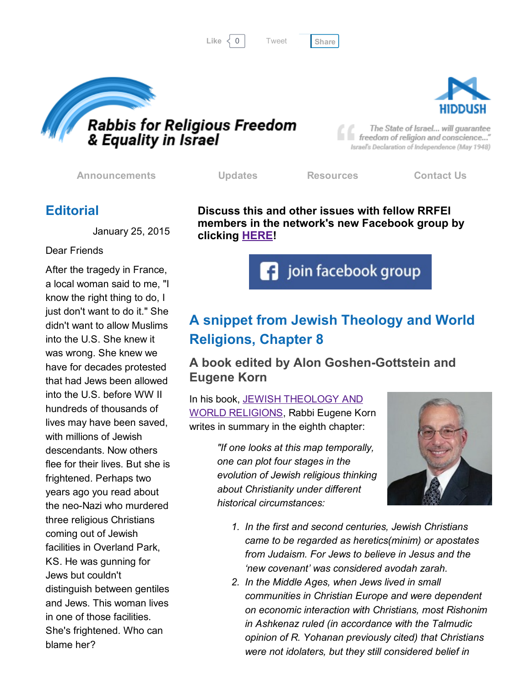```
Tweet
```




The State of Israel... will guarantee freedom of religion and conscience..." Israel's Declaration of Independence (May 1948)

[Announcements](http://rrfei.org/announcements/) [Updates](http://rrfei.org/about/rrfei-updates/) [Resources](http://rrfei.org/resources/) [Contact](http://rrfei.org/contact-us/) Us

## **Editorial**

January 25, 2015

#### Dear Friends

After the tragedy in France, a local woman said to me, "I know the right thing to do, I just don't want to do it." She didn't want to allow Muslims into the U.S. She knew it was wrong. She knew we have for decades protested that had Jews been allowed into the U.S. before WW II hundreds of thousands of lives may have been saved, with millions of Jewish descendants. Now others flee for their lives. But she is frightened. Perhaps two years ago you read about the neo-Nazi who murdered three religious Christians coming out of Jewish facilities in Overland Park, KS. He was gunning for Jews but couldn't distinguish between gentiles and Jews. This woman lives in one of those facilities. She's frightened. Who can blame her?

Discuss this and other issues with fellow RRFEI members in the network's new Facebook group by clicking **[HERE!](https://www.facebook.com/groups/132239560451232/)** 

**f** join facebook group

# A snippet from Jewish Theology and World Religions, Chapter 8

### A book edited by Alon Goshen-Gottstein and Eugene Korn

In his book, JEWISH THEOLOGY AND WORLD [RELIGIONS,](http://www.littman.co.uk/cat/gottstein-korn-theology.html) Rabbi Eugene Korn writes in summary in the eighth chapter:

> *"If one looks at this map temporally, one can plot four stages in the evolution of Jewish religious thinking about Christianity under different historical circumstances:*



- *1. In the first and second centuries, Jewish Christians came to be regarded as heretics(minim) or apostates from Judaism. For Jews to believe in Jesus and the 'new covenant' was considered avodah zarah.*
- *2. In the Middle Ages, when Jews lived in small communities in Christian Europe and were dependent on economic interaction with Christians, most Rishonim in Ashkenaz ruled (in accordance with the Talmudic opinion of R. Yohanan previously cited) that Christians were not idolaters, but they still considered belief in*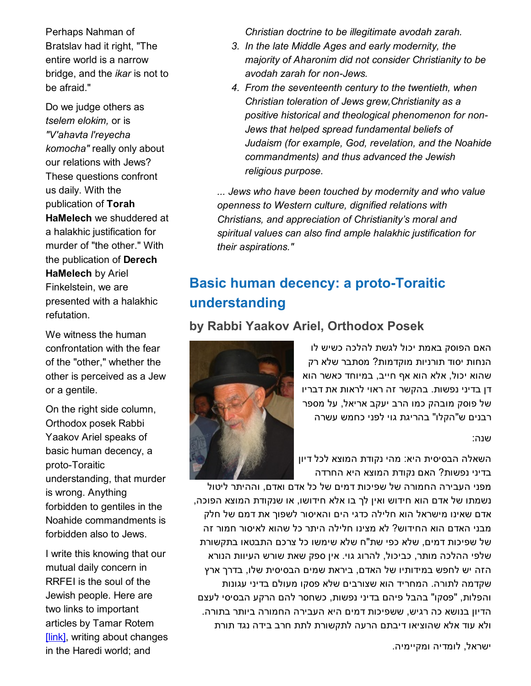Perhaps Nahman of Bratslav had it right, "The entire world is a narrow bridge, and the *ikar* is not to be afraid."

Do we judge others as *tselem elokim,* or is *"V'ahavta l'reyecha komocha"* really only about our relations with Jews? These questions confront us daily. With the publication of Torah HaMelech we shuddered at a halakhic justification for murder of "the other." With the publication of Derech HaMelech by Ariel Finkelstein, we are presented with a halakhic refutation.

We witness the human confrontation with the fear of the "other," whether the other is perceived as a Jew or a gentile.

On the right side column, Orthodox posek Rabbi Yaakov Ariel speaks of basic human decency, a proto-Toraitic understanding, that murder is wrong. Anything forbidden to gentiles in the Noahide commandments is forbidden also to Jews.

I write this knowing that our mutual daily concern in RRFEI is the soul of the Jewish people. Here are two links to important articles by Tamar Rotem [\[link\],](http://www.haaretz.com/jewish/features/.premium-1.698777) writing about changes in the Haredi world; and

*Christian doctrine to be illegitimate avodah zarah.*

- *3. In the late Middle Ages and early modernity, the majority of Aharonim did not consider Christianity to be avodah zarah for nonJews.*
- *4. From the seventeenth century to the twentieth, when Christian toleration of Jews grew,Christianity as a positive historical and theological phenomenon for non-Jews that helped spread fundamental beliefs of Judaism (for example, God, revelation, and the Noahide commandments) and thus advanced the Jewish religious purpose.*

*... Jews who have been touched by modernity and who value openness to Western culture, dignified relations with Christians, and appreciation of Christianity's moral and spiritual values can also find ample halakhic justification for their aspirations."*

## Basic human decency: a proto-Toraitic understanding

### by Rabbi Yaakov Ariel, Orthodox Posek

האם הפוסק באמת יכול לגשת להלכה כשיש לו הנחות יסוד תורניות מוקדמות? מסתבר שלא רק שהוא יכול, אלא הוא אף חייב, במיוחד כאשר הוא דן בדיני נפשות. בהקשר זה ראוי לראות את דבריו של פוסק מובהק כמו הרב יעקב אריאל, על מספר רבנים ש"הקלו" בהריגת גוי לפני כחמש עשרה

#### שנה:

השאלה הבסיסית היא: מהי נקודת המוצא לכל דיון בדיני נפשות? האם נקודת המוצא היא החרדה

מפני העבירה החמורה של שפיכות דמים של כל אדם ואדם, וההיתר ליטול נשמתו של אדם הוא חידוש ואין לך בו אלא חידושו, או שנקודת המוצא הפוכה, אדם שאינו מישראל הוא חלילה כדגי הים והאיסור לשפוך את דמם של חלק מבני האדם הוא החידוש? לא מצינו חלילה היתר כל שהוא לאיסור חמור זה של שפיכות דמים, שלא כפי שת"ח שלא שימשו כל צרכם התבטאו בתקשורת שלפי ההלכה מותר, כביכול, להרוג גוי. אין ספק שאת שורש העיוות הנורא הזה יש לחפש במידותיו של האדם, ביראת שמים הבסיסית שלו, בדרך ארץ שקדמה לתורה. המחריד הוא שצורבים שלא פסקו מעולם בדיני עגונות והפלות, "פסקו" בהבל פיהם בדיני נפשות, כשחסר להם הרקע הבסיסי לעצם הדיון בנושא כה רגיש, ששפיכות דמים היא העבירה החמורה ביותר בתורה. ולא עוד אלא שהוציאו דיבתם הרעה לתקשורת לתת חרב בידה נגד תורת

ישראל, לומדיה ומקיימיה.

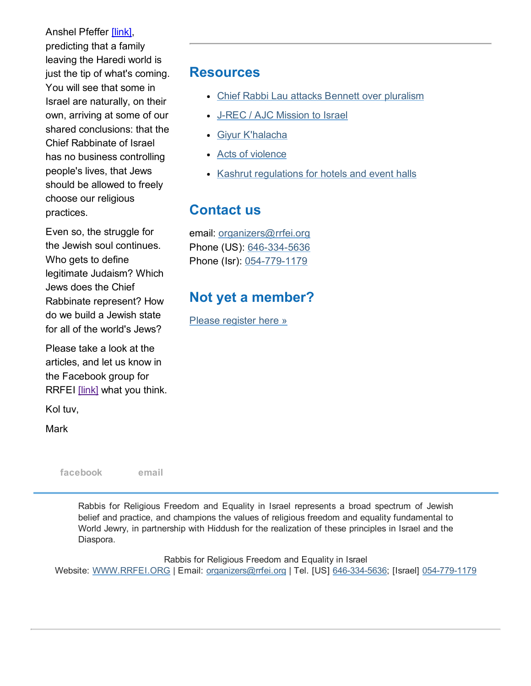Anshel Pfeffer [\[link\],](http://www.haaretz.com/opinion/.premium-1.698851) predicting that a family leaving the Haredi world is just the tip of what's coming. You will see that some in Israel are naturally, on their own, arriving at some of our shared conclusions: that the Chief Rabbinate of Israel has no business controlling people's lives, that Jews should be allowed to freely choose our religious practices.

Even so, the struggle for the Jewish soul continues. Who gets to define legitimate Judaism? Which Jews does the Chief Rabbinate represent? How do we build a Jewish state for all of the world's Jews?

Please take a look at the articles, and let us know in the Facebook group for RRFEI [\[link\]](https://www.facebook.com/groups/132239560451232/) what you think.

Kol tuv,

Mark

[facebook](https://www.facebook.com/groups/132239560451232/) [email](mailto:organizers@rrfei.org)

Resources

- Chief Rabbi Lau attacks Bennett over [pluralism](http://rrfei.org/resources/chief-rabbi-lau-slams-minister-bennett-winter-2015/)
- J-REC / AJC [Mission](http://rrfei.org/resources/ajc-j-rec-mission-to-israel-winter-2015/) to Israel
- Giyur [K'halacha](http://rrfei.org/resources/giyur-khalacha-summer-2015/)
- Acts of [violence](http://rrfei.org/resources/acts-of-violence-summer-2015/)
- Kashrut [regulations](http://rrfei.org/resources/kashrut-regulations-for-hotels-spring-2015/) for hotels and event halls

## Contact us

email: [organizers@rrfei.org](mailto:organizers@rrfei.org) Phone (US): 646-334-5636 Phone (Isr): 054-779-1179

## Not yet a member?

Please [register](http://rrfei.org/about/registration/) here »

Rabbis for Religious Freedom and Equality in Israel represents a broad spectrum of Jewish belief and practice, and champions the values of religious freedom and equality fundamental to World Jewry, in partnership with Hiddush for the realization of these principles in Israel and the Diaspora.

Rabbis for Religious Freedom and Equality in Israel Website: [WWW.RRFEI.ORG](http://rrfei.org/) | Email: [organizers@rrfei.org](mailto:organizers@rrfei.org) | Tel. [US] 646-334-5636; [Israel] 054-779-1179